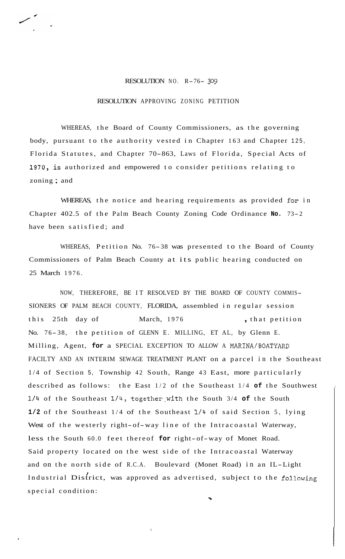## RESOLUTION NO. R-76- *<sup>309</sup>*

## RESOLUTION APPROVING ZONING PETITION

WHEREAS, the Board of County Commissioners, as the governing body, pursuant to the authority vested in Chapter 163 and Chapter 125, Florida Statutes, and Chapter 70-863, Laws of Florida, Special Acts of 1970, is authorized and empowered to consider petitions relating to zoning ; and

WHEREAS, the notice and hearing requirements as provided **for** in Chapter 402.5 of the Palm Beach County Zoning Code Ordinance **No.** 73-2 have been satisfied; and

WHEREAS, Petition No. 76-38 was presented to the Board of County Commissioners of Palm Beach County at its public hearing conducted on 25 March 1976.

NOW, THEREFORE, BE IT RESOLVED BY THE BOARD OF COUNTY COMMIS-SIONERS OF PALM BEACH COUNTY, FLORIDA, assembled in regular session this 25th day of March, 1976 , that petition No. 76- 38, the petition of GLENN E. MILLING, ET AL, by Glenn E. Milling, Agent, **for** a SPECIAL EXCEPTION TO ALLOW A MARINA/BOATYARD FACILTY AND AN INTERIM SEWAGE TREATMENT PLANT on a parcel in the Southeast 1/4 of Section 5, Township 42 South, Range 43 East, more particularly described as follows: the East 1/2 of the Southeast 1/4 **of** the Southwest **1/4** of the Southeast 1/4, together-with the South 3/4 **of** the South **1/2** of the Southeast 1/4 of the Southeast **1/4** of said Section 5, lying West of the westerly right-of-way line of the Intracoastal Waterway, less the South 60.0 feet thereof **for** right-of-way of Monet Road. Said property located on the west side of the Intracoastal Waterway and on the north side of R.C.A. Boulevard (Monet Road) in an IL-Light Industrial District, was approved as advertised, subject to the following special condition:

 $\ddot{\phantom{0}}$ 

'\$